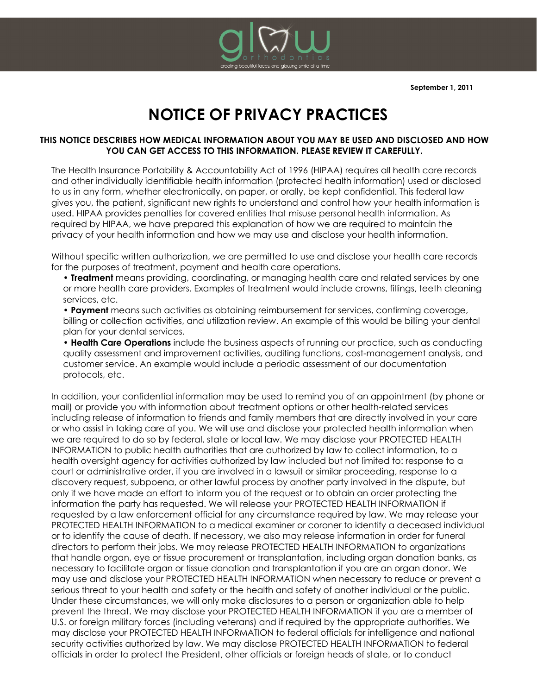

# **NOTICE OF PRIVACY PRACTICES**

### **THIS NOTICE DESCRIBES HOW MEDICAL INFORMATION ABOUT YOU MAY BE USED AND DISCLOSED AND HOW YOU CAN GET ACCESS TO THIS INFORMATION. PLEASE REVIEW IT CAREFULLY.**

The Health Insurance Portability & Accountability Act of 1996 (HIPAA) requires all health care records and other individually identifiable health information (protected health information) used or disclosed to us in any form, whether electronically, on paper, or orally, be kept confidential. This federal law gives you, the patient, significant new rights to understand and control how your health information is used. HIPAA provides penalties for covered entities that misuse personal health information. As required by HIPAA, we have prepared this explanation of how we are required to maintain the privacy of your health information and how we may use and disclose your health information.

Without specific written authorization, we are permitted to use and disclose your health care records for the purposes of treatment, payment and health care operations.

• **Treatment** means providing, coordinating, or managing health care and related services by one or more health care providers. Examples of treatment would include crowns, fillings, teeth cleaning services, etc.

• **Payment** means such activities as obtaining reimbursement for services, confirming coverage, billing or collection activities, and utilization review. An example of this would be billing your dental plan for your dental services.

• **Health Care Operations** include the business aspects of running our practice, such as conducting quality assessment and improvement activities, auditing functions, cost-management analysis, and customer service. An example would include a periodic assessment of our documentation protocols, etc.

In addition, your confidential information may be used to remind you of an appointment (by phone or mail) or provide you with information about treatment options or other health-related services including release of information to friends and family members that are directly involved in your care or who assist in taking care of you. We will use and disclose your protected health information when we are required to do so by federal, state or local law. We may disclose your PROTECTED HEALTH INFORMATION to public health authorities that are authorized by law to collect information, to a health oversight agency for activities authorized by law included but not limited to: response to a court or administrative order, if you are involved in a lawsuit or similar proceeding, response to a discovery request, subpoena, or other lawful process by another party involved in the dispute, but only if we have made an effort to inform you of the request or to obtain an order protecting the information the party has requested. We will release your PROTECTED HEALTH INFORMATION if requested by a law enforcement official for any circumstance required by law. We may release your PROTECTED HEALTH INFORMATION to a medical examiner or coroner to identify a deceased individual or to identify the cause of death. If necessary, we also may release information in order for funeral directors to perform their jobs. We may release PROTECTED HEALTH INFORMATION to organizations that handle organ, eye or tissue procurement or transplantation, including organ donation banks, as necessary to facilitate organ or tissue donation and transplantation if you are an organ donor. We may use and disclose your PROTECTED HEALTH INFORMATION when necessary to reduce or prevent a serious threat to your health and safety or the health and safety of another individual or the public. Under these circumstances, we will only make disclosures to a person or organization able to help prevent the threat. We may disclose your PROTECTED HEALTH INFORMATION if you are a member of U.S. or foreign military forces (including veterans) and if required by the appropriate authorities. We may disclose your PROTECTED HEALTH INFORMATION to federal officials for intelligence and national security activities authorized by law. We may disclose PROTECTED HEALTH INFORMATION to federal officials in order to protect the President, other officials or foreign heads of state, or to conduct